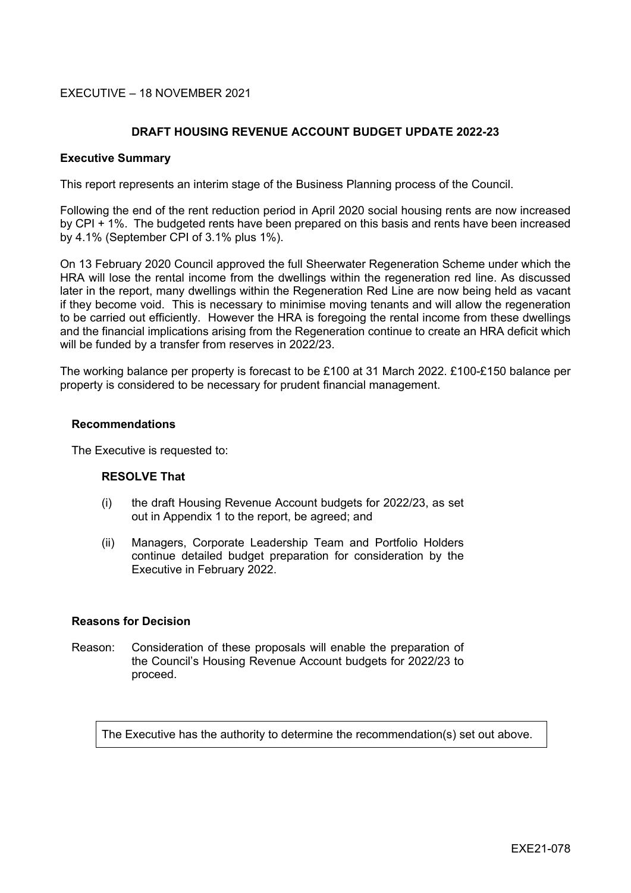# EXECUTIVE – 18 NOVEMBER 2021

## **DRAFT HOUSING REVENUE ACCOUNT BUDGET UPDATE 2022-23**

### **Executive Summary**

This report represents an interim stage of the Business Planning process of the Council.

Following the end of the rent reduction period in April 2020 social housing rents are now increased by CPI + 1%. The budgeted rents have been prepared on this basis and rents have been increased by 4.1% (September CPI of 3.1% plus 1%).

On 13 February 2020 Council approved the full Sheerwater Regeneration Scheme under which the HRA will lose the rental income from the dwellings within the regeneration red line. As discussed later in the report, many dwellings within the Regeneration Red Line are now being held as vacant if they become void. This is necessary to minimise moving tenants and will allow the regeneration to be carried out efficiently. However the HRA is foregoing the rental income from these dwellings and the financial implications arising from the Regeneration continue to create an HRA deficit which will be funded by a transfer from reserves in 2022/23.

The working balance per property is forecast to be £100 at 31 March 2022. £100-£150 balance per property is considered to be necessary for prudent financial management.

### **Recommendations**

The Executive is requested to:

### **RESOLVE That**

- (i) the draft Housing Revenue Account budgets for 2022/23, as set out in Appendix 1 to the report, be agreed; and
- (ii) Managers, Corporate Leadership Team and Portfolio Holders continue detailed budget preparation for consideration by the Executive in February 2022.

### **Reasons for Decision**

Reason: Consideration of these proposals will enable the preparation of the Council's Housing Revenue Account budgets for 2022/23 to proceed.

The Executive has the authority to determine the recommendation(s) set out above.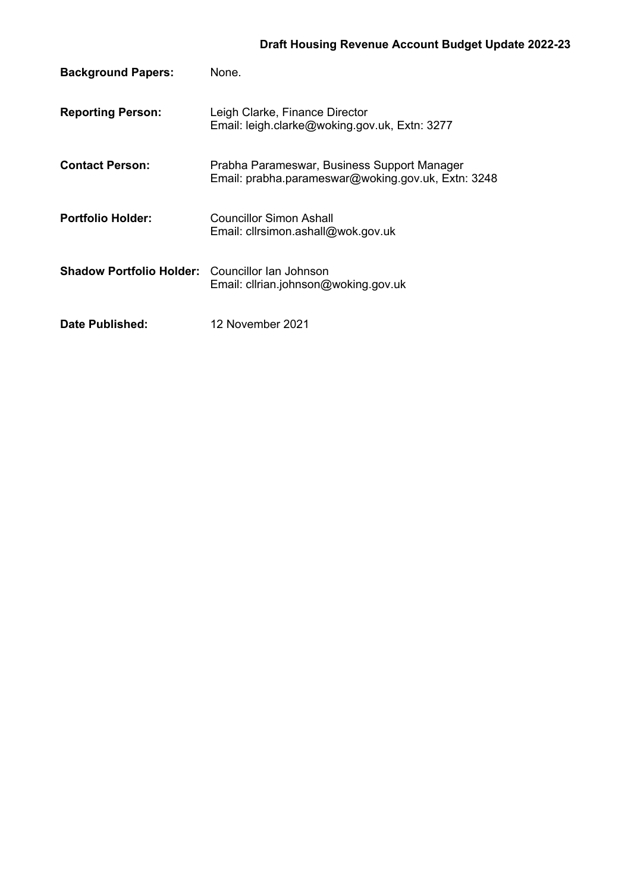| <b>Background Papers:</b>       | None.                                                                                             |
|---------------------------------|---------------------------------------------------------------------------------------------------|
| <b>Reporting Person:</b>        | Leigh Clarke, Finance Director<br>Email: leigh.clarke@woking.gov.uk, Extn: 3277                   |
| <b>Contact Person:</b>          | Prabha Parameswar, Business Support Manager<br>Email: prabha.parameswar@woking.gov.uk, Extn: 3248 |
| <b>Portfolio Holder:</b>        | Councillor Simon Ashall<br>Email: clirsimon.ashall@wok.gov.uk                                     |
| <b>Shadow Portfolio Holder:</b> | Councillor Ian Johnson<br>Email: clirian.johnson@woking.gov.uk                                    |
| Date Published:                 | 12 November 2021                                                                                  |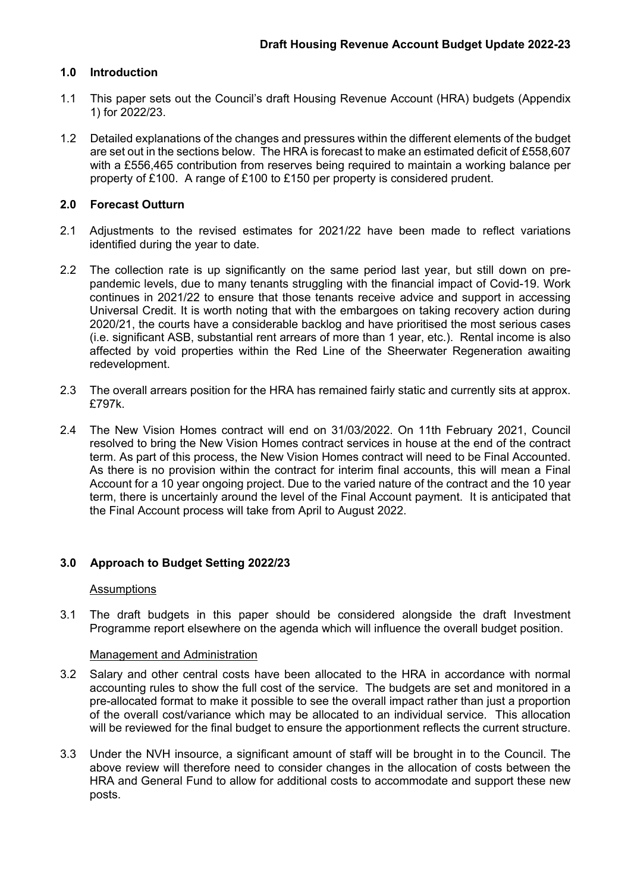# **1.0 Introduction**

- 1.1 This paper sets out the Council's draft Housing Revenue Account (HRA) budgets (Appendix 1) for 2022/23.
- 1.2 Detailed explanations of the changes and pressures within the different elements of the budget are set out in the sections below. The HRA is forecast to make an estimated deficit of £558,607 with a £556,465 contribution from reserves being required to maintain a working balance per property of £100. A range of £100 to £150 per property is considered prudent.

## **2.0 Forecast Outturn**

- 2.1 Adjustments to the revised estimates for 2021/22 have been made to reflect variations identified during the year to date.
- 2.2 The collection rate is up significantly on the same period last year, but still down on prepandemic levels, due to many tenants struggling with the financial impact of Covid-19. Work continues in 2021/22 to ensure that those tenants receive advice and support in accessing Universal Credit. It is worth noting that with the embargoes on taking recovery action during 2020/21, the courts have a considerable backlog and have prioritised the most serious cases (i.e. significant ASB, substantial rent arrears of more than 1 year, etc.). Rental income is also affected by void properties within the Red Line of the Sheerwater Regeneration awaiting redevelopment.
- 2.3 The overall arrears position for the HRA has remained fairly static and currently sits at approx. £797k.
- 2.4 The New Vision Homes contract will end on 31/03/2022. On 11th February 2021, Council resolved to bring the New Vision Homes contract services in house at the end of the contract term. As part of this process, the New Vision Homes contract will need to be Final Accounted. As there is no provision within the contract for interim final accounts, this will mean a Final Account for a 10 year ongoing project. Due to the varied nature of the contract and the 10 year term, there is uncertainly around the level of the Final Account payment. It is anticipated that the Final Account process will take from April to August 2022.

## **3.0 Approach to Budget Setting 2022/23**

## Assumptions

3.1 The draft budgets in this paper should be considered alongside the draft Investment Programme report elsewhere on the agenda which will influence the overall budget position.

### Management and Administration

- 3.2 Salary and other central costs have been allocated to the HRA in accordance with normal accounting rules to show the full cost of the service. The budgets are set and monitored in a pre-allocated format to make it possible to see the overall impact rather than just a proportion of the overall cost/variance which may be allocated to an individual service. This allocation will be reviewed for the final budget to ensure the apportionment reflects the current structure.
- 3.3 Under the NVH insource, a significant amount of staff will be brought in to the Council. The above review will therefore need to consider changes in the allocation of costs between the HRA and General Fund to allow for additional costs to accommodate and support these new posts.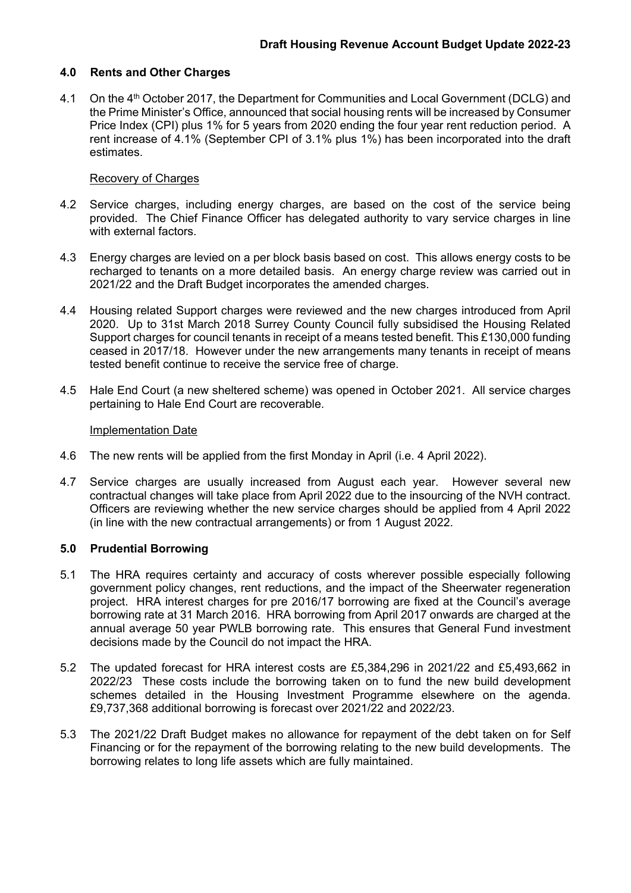### **4.0 Rents and Other Charges**

4.1 On the 4<sup>th</sup> October 2017, the Department for Communities and Local Government (DCLG) and the Prime Minister's Office, announced that social housing rents will be increased by Consumer Price Index (CPI) plus 1% for 5 years from 2020 ending the four year rent reduction period. A rent increase of 4.1% (September CPI of 3.1% plus 1%) has been incorporated into the draft estimates.

### Recovery of Charges

- 4.2 Service charges, including energy charges, are based on the cost of the service being provided. The Chief Finance Officer has delegated authority to vary service charges in line with external factors.
- 4.3 Energy charges are levied on a per block basis based on cost. This allows energy costs to be recharged to tenants on a more detailed basis. An energy charge review was carried out in 2021/22 and the Draft Budget incorporates the amended charges.
- 4.4 Housing related Support charges were reviewed and the new charges introduced from April 2020. Up to 31st March 2018 Surrey County Council fully subsidised the Housing Related Support charges for council tenants in receipt of a means tested benefit. This £130,000 funding ceased in 2017/18. However under the new arrangements many tenants in receipt of means tested benefit continue to receive the service free of charge.
- 4.5 Hale End Court (a new sheltered scheme) was opened in October 2021. All service charges pertaining to Hale End Court are recoverable.

### Implementation Date

- 4.6 The new rents will be applied from the first Monday in April (i.e. 4 April 2022).
- 4.7 Service charges are usually increased from August each year. However several new contractual changes will take place from April 2022 due to the insourcing of the NVH contract. Officers are reviewing whether the new service charges should be applied from 4 April 2022 (in line with the new contractual arrangements) or from 1 August 2022.

### **5.0 Prudential Borrowing**

- 5.1 The HRA requires certainty and accuracy of costs wherever possible especially following government policy changes, rent reductions, and the impact of the Sheerwater regeneration project. HRA interest charges for pre 2016/17 borrowing are fixed at the Council's average borrowing rate at 31 March 2016. HRA borrowing from April 2017 onwards are charged at the annual average 50 year PWLB borrowing rate. This ensures that General Fund investment decisions made by the Council do not impact the HRA.
- 5.2 The updated forecast for HRA interest costs are £5,384,296 in 2021/22 and £5,493,662 in 2022/23 These costs include the borrowing taken on to fund the new build development schemes detailed in the Housing Investment Programme elsewhere on the agenda. £9,737,368 additional borrowing is forecast over 2021/22 and 2022/23.
- 5.3 The 2021/22 Draft Budget makes no allowance for repayment of the debt taken on for Self Financing or for the repayment of the borrowing relating to the new build developments. The borrowing relates to long life assets which are fully maintained.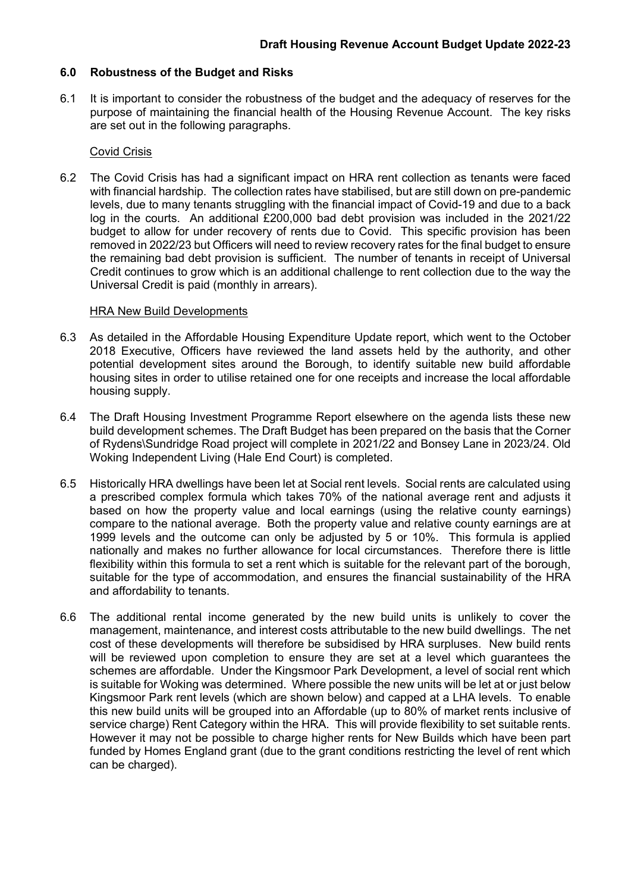# **6.0 Robustness of the Budget and Risks**

6.1 It is important to consider the robustness of the budget and the adequacy of reserves for the purpose of maintaining the financial health of the Housing Revenue Account. The key risks are set out in the following paragraphs.

### Covid Crisis

6.2 The Covid Crisis has had a significant impact on HRA rent collection as tenants were faced with financial hardship. The collection rates have stabilised, but are still down on pre-pandemic levels, due to many tenants struggling with the financial impact of Covid-19 and due to a back log in the courts. An additional £200,000 bad debt provision was included in the 2021/22 budget to allow for under recovery of rents due to Covid. This specific provision has been removed in 2022/23 but Officers will need to review recovery rates for the final budget to ensure the remaining bad debt provision is sufficient. The number of tenants in receipt of Universal Credit continues to grow which is an additional challenge to rent collection due to the way the Universal Credit is paid (monthly in arrears).

### HRA New Build Developments

- 6.3 As detailed in the Affordable Housing Expenditure Update report, which went to the October 2018 Executive, Officers have reviewed the land assets held by the authority, and other potential development sites around the Borough, to identify suitable new build affordable housing sites in order to utilise retained one for one receipts and increase the local affordable housing supply.
- 6.4 The Draft Housing Investment Programme Report elsewhere on the agenda lists these new build development schemes. The Draft Budget has been prepared on the basis that the Corner of Rydens\Sundridge Road project will complete in 2021/22 and Bonsey Lane in 2023/24. Old Woking Independent Living (Hale End Court) is completed.
- 6.5 Historically HRA dwellings have been let at Social rent levels. Social rents are calculated using a prescribed complex formula which takes 70% of the national average rent and adjusts it based on how the property value and local earnings (using the relative county earnings) compare to the national average. Both the property value and relative county earnings are at 1999 levels and the outcome can only be adjusted by 5 or 10%. This formula is applied nationally and makes no further allowance for local circumstances. Therefore there is little flexibility within this formula to set a rent which is suitable for the relevant part of the borough, suitable for the type of accommodation, and ensures the financial sustainability of the HRA and affordability to tenants.
- 6.6 The additional rental income generated by the new build units is unlikely to cover the management, maintenance, and interest costs attributable to the new build dwellings. The net cost of these developments will therefore be subsidised by HRA surpluses. New build rents will be reviewed upon completion to ensure they are set at a level which guarantees the schemes are affordable. Under the Kingsmoor Park Development, a level of social rent which is suitable for Woking was determined. Where possible the new units will be let at or just below Kingsmoor Park rent levels (which are shown below) and capped at a LHA levels. To enable this new build units will be grouped into an Affordable (up to 80% of market rents inclusive of service charge) Rent Category within the HRA. This will provide flexibility to set suitable rents. However it may not be possible to charge higher rents for New Builds which have been part funded by Homes England grant (due to the grant conditions restricting the level of rent which can be charged).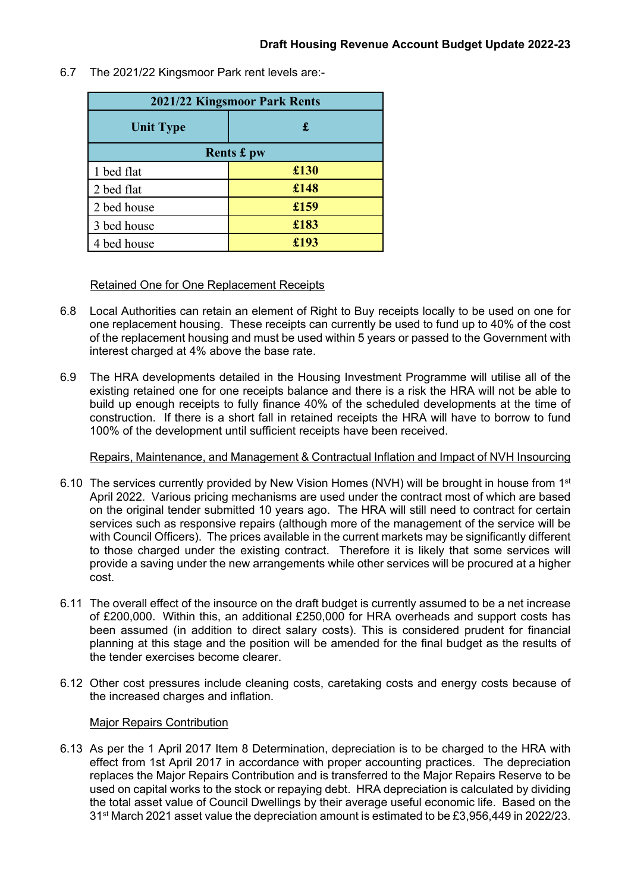- **2021/22 Kingsmoor Park Rents Unit Type £ Rents £ pw** 1 bed flat **£130** 2 bed flat **£148** 2 bed house **£159** 3 bed house **£183** 4 bed house **£193**
- 6.7 The 2021/22 Kingsmoor Park rent levels are:-

## Retained One for One Replacement Receipts

- 6.8 Local Authorities can retain an element of Right to Buy receipts locally to be used on one for one replacement housing. These receipts can currently be used to fund up to 40% of the cost of the replacement housing and must be used within 5 years or passed to the Government with interest charged at 4% above the base rate.
- 6.9 The HRA developments detailed in the Housing Investment Programme will utilise all of the existing retained one for one receipts balance and there is a risk the HRA will not be able to build up enough receipts to fully finance 40% of the scheduled developments at the time of construction. If there is a short fall in retained receipts the HRA will have to borrow to fund 100% of the development until sufficient receipts have been received.

## Repairs, Maintenance, and Management & Contractual Inflation and Impact of NVH Insourcing

- 6.10 The services currently provided by New Vision Homes (NVH) will be brought in house from 1st April 2022. Various pricing mechanisms are used under the contract most of which are based on the original tender submitted 10 years ago. The HRA will still need to contract for certain services such as responsive repairs (although more of the management of the service will be with Council Officers). The prices available in the current markets may be significantly different to those charged under the existing contract. Therefore it is likely that some services will provide a saving under the new arrangements while other services will be procured at a higher cost.
- 6.11 The overall effect of the insource on the draft budget is currently assumed to be a net increase of £200,000. Within this, an additional £250,000 for HRA overheads and support costs has been assumed (in addition to direct salary costs). This is considered prudent for financial planning at this stage and the position will be amended for the final budget as the results of the tender exercises become clearer.
- 6.12 Other cost pressures include cleaning costs, caretaking costs and energy costs because of the increased charges and inflation.

## Major Repairs Contribution

6.13 As per the 1 April 2017 Item 8 Determination, depreciation is to be charged to the HRA with effect from 1st April 2017 in accordance with proper accounting practices. The depreciation replaces the Major Repairs Contribution and is transferred to the Major Repairs Reserve to be used on capital works to the stock or repaying debt. HRA depreciation is calculated by dividing the total asset value of Council Dwellings by their average useful economic life. Based on the 31st March 2021 asset value the depreciation amount is estimated to be £3,956,449 in 2022/23.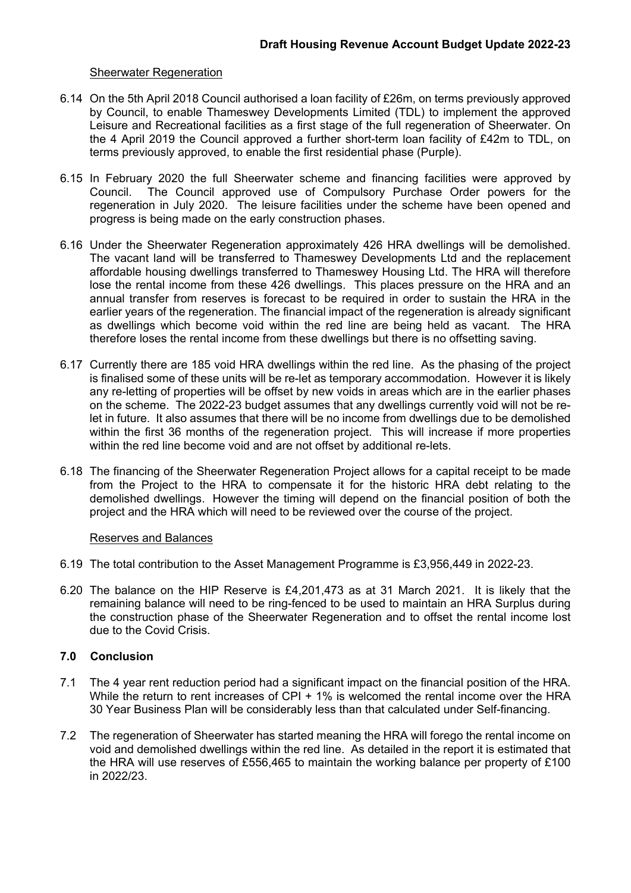### **Sheerwater Regeneration**

- 6.14 On the 5th April 2018 Council authorised a loan facility of £26m, on terms previously approved by Council, to enable Thameswey Developments Limited (TDL) to implement the approved Leisure and Recreational facilities as a first stage of the full regeneration of Sheerwater. On the 4 April 2019 the Council approved a further short-term loan facility of £42m to TDL, on terms previously approved, to enable the first residential phase (Purple).
- 6.15 In February 2020 the full Sheerwater scheme and financing facilities were approved by Council. The Council approved use of Compulsory Purchase Order powers for the regeneration in July 2020. The leisure facilities under the scheme have been opened and progress is being made on the early construction phases.
- 6.16 Under the Sheerwater Regeneration approximately 426 HRA dwellings will be demolished. The vacant land will be transferred to Thameswey Developments Ltd and the replacement affordable housing dwellings transferred to Thameswey Housing Ltd. The HRA will therefore lose the rental income from these 426 dwellings. This places pressure on the HRA and an annual transfer from reserves is forecast to be required in order to sustain the HRA in the earlier years of the regeneration. The financial impact of the regeneration is already significant as dwellings which become void within the red line are being held as vacant. The HRA therefore loses the rental income from these dwellings but there is no offsetting saving.
- 6.17 Currently there are 185 void HRA dwellings within the red line. As the phasing of the project is finalised some of these units will be re-let as temporary accommodation. However it is likely any re-letting of properties will be offset by new voids in areas which are in the earlier phases on the scheme. The 2022-23 budget assumes that any dwellings currently void will not be relet in future. It also assumes that there will be no income from dwellings due to be demolished within the first 36 months of the regeneration project. This will increase if more properties within the red line become void and are not offset by additional re-lets.
- 6.18 The financing of the Sheerwater Regeneration Project allows for a capital receipt to be made from the Project to the HRA to compensate it for the historic HRA debt relating to the demolished dwellings. However the timing will depend on the financial position of both the project and the HRA which will need to be reviewed over the course of the project.

### Reserves and Balances

- 6.19 The total contribution to the Asset Management Programme is £3,956,449 in 2022-23.
- 6.20 The balance on the HIP Reserve is £4,201,473 as at 31 March 2021. It is likely that the remaining balance will need to be ring-fenced to be used to maintain an HRA Surplus during the construction phase of the Sheerwater Regeneration and to offset the rental income lost due to the Covid Crisis.

# **7.0 Conclusion**

- 7.1 The 4 year rent reduction period had a significant impact on the financial position of the HRA. While the return to rent increases of CPI + 1% is welcomed the rental income over the HRA 30 Year Business Plan will be considerably less than that calculated under Self-financing.
- 7.2 The regeneration of Sheerwater has started meaning the HRA will forego the rental income on void and demolished dwellings within the red line. As detailed in the report it is estimated that the HRA will use reserves of £556,465 to maintain the working balance per property of £100 in 2022/23.